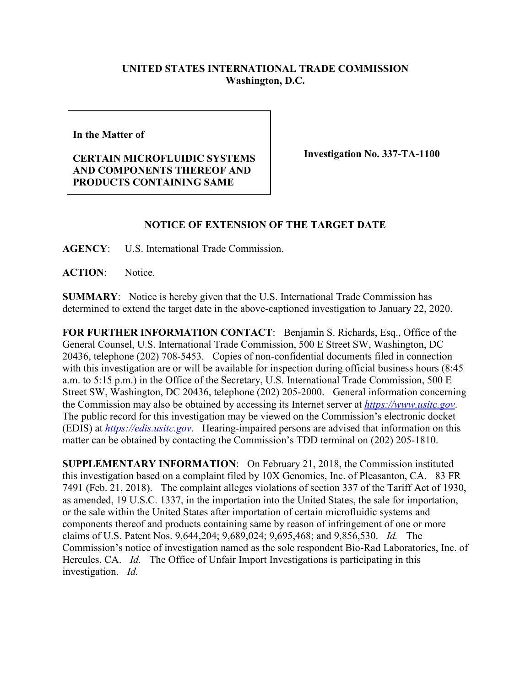## **UNITED STATES INTERNATIONAL TRADE COMMISSION Washington, D.C.**

**In the Matter of** 

**CERTAIN MICROFLUIDIC SYSTEMS AND COMPONENTS THEREOF AND PRODUCTS CONTAINING SAME**

**Investigation No. 337-TA-1100**

## **NOTICE OF EXTENSION OF THE TARGET DATE**

**AGENCY**: U.S. International Trade Commission.

**ACTION**: Notice.

**SUMMARY**: Notice is hereby given that the U.S. International Trade Commission has determined to extend the target date in the above-captioned investigation to January 22, 2020.

**FOR FURTHER INFORMATION CONTACT**: Benjamin S. Richards, Esq., Office of the General Counsel, U.S. International Trade Commission, 500 E Street SW, Washington, DC 20436, telephone (202) 708-5453. Copies of non-confidential documents filed in connection with this investigation are or will be available for inspection during official business hours (8:45) a.m. to 5:15 p.m.) in the Office of the Secretary, U.S. International Trade Commission, 500 E Street SW, Washington, DC 20436, telephone (202) 205-2000. General information concerning the Commission may also be obtained by accessing its Internet server at *[https://www.usitc.gov](https://www.usitc.gov/)*. The public record for this investigation may be viewed on the Commission's electronic docket (EDIS) at *[https://edis.usitc.gov](https://edis.usitc.gov/)*. Hearing-impaired persons are advised that information on this matter can be obtained by contacting the Commission's TDD terminal on (202) 205-1810.

**SUPPLEMENTARY INFORMATION**: On February 21, 2018, the Commission instituted this investigation based on a complaint filed by 10X Genomics, Inc. of Pleasanton, CA. 83 FR 7491 (Feb. 21, 2018). The complaint alleges violations of section 337 of the Tariff Act of 1930, as amended, 19 U.S.C. 1337, in the importation into the United States, the sale for importation, or the sale within the United States after importation of certain microfluidic systems and components thereof and products containing same by reason of infringement of one or more claims of U.S. Patent Nos. 9,644,204; 9,689,024; 9,695,468; and 9,856,530. *Id.* The Commission's notice of investigation named as the sole respondent Bio-Rad Laboratories, Inc. of Hercules, CA. *Id.* The Office of Unfair Import Investigations is participating in this investigation. *Id.*